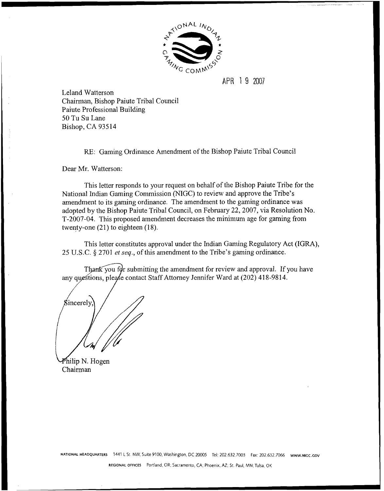

## APR 1 9 2007

Leland Watterson Chairman, Bishop Paiute Tribal Council Paiute Professional Building 50 Tu Su Lane Bishop, CA 935 14

RE: Gaming Ordinance Amendment of the Bishop Paiute Tribal Council

Dear Mr. Watterson:

This letter responds to your request on behalf of the Bishop Paiute Tribe for the National Indian Gaming Commission (NIGC) to review and approve the Tribe's amendment to its gaming ordinance. The amendment to the gaming ordinance was adopted by the Bishop Paiute Tribal Council, on February 22,2007, via Resolution No. T-2007-04. This proposed amendment decreases the minimum age for gaming from twenty-one **(21)** to eighteen **(1** 8).

This letter constitutes approval under the Indian Gaming Regulatory Act (IGRA), **25** U.S.C. *5* **2701 et seq.,** of this amendment to the Tribe's gaming ordinance.

Thank you for submitting the amendment for review and approval. If you have any questions, please contact Staff Attorney Jennifer Ward at (202) 418-9814.

Sincerely.

Philip N. Hogen Chairman

NATIONAL HEADQUARTERS 1441 L St. NW, Suite 9100, Washington, DC 20005 Tel: 202.632.7003 Fax: 202.632.7066 www.NIGC.GOV

**REGIONAL OFFICES** Portland, OR; Sacramento, CA: Phoenix, AZ; St. Paul. MN;Tulsa, OK